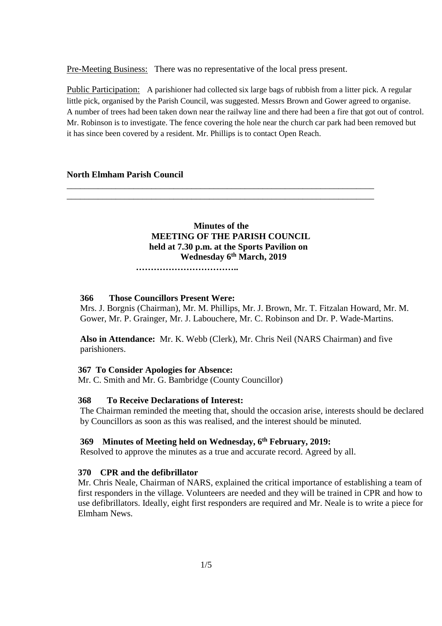Pre-Meeting Business: There was no representative of the local press present.

Public Participation: A parishioner had collected six large bags of rubbish from a litter pick. A regular little pick, organised by the Parish Council, was suggested. Messrs Brown and Gower agreed to organise. A number of trees had been taken down near the railway line and there had been a fire that got out of control. Mr. Robinson is to investigate. The fence covering the hole near the church car park had been removed but it has since been covered by a resident. Mr. Phillips is to contact Open Reach.

#### **North Elmham Parish Council**

 **Minutes of the MEETING OF THE PARISH COUNCIL held at 7.30 p.m. at the Sports Pavilion on Wednesday 6 th March, 2019**

\_\_\_\_\_\_\_\_\_\_\_\_\_\_\_\_\_\_\_\_\_\_\_\_\_\_\_\_\_\_\_\_\_\_\_\_\_\_\_\_\_\_\_\_\_\_\_\_\_\_\_\_\_\_\_\_\_\_\_\_\_\_\_\_\_\_\_\_\_ \_\_\_\_\_\_\_\_\_\_\_\_\_\_\_\_\_\_\_\_\_\_\_\_\_\_\_\_\_\_\_\_\_\_\_\_\_\_\_\_\_\_\_\_\_\_\_\_\_\_\_\_\_\_\_\_\_\_\_\_\_\_\_\_\_\_\_\_\_

 **……………………………..**

#### **366 Those Councillors Present Were:**

Mrs. J. Borgnis (Chairman), Mr. M. Phillips, Mr. J. Brown, Mr. T. Fitzalan Howard, Mr. M. Gower, Mr. P. Grainger, Mr. J. Labouchere, Mr. C. Robinson and Dr. P. Wade-Martins.

**Also in Attendance:** Mr. K. Webb (Clerk), Mr. Chris Neil (NARS Chairman) and five parishioners.

#### **367 To Consider Apologies for Absence:**

Mr. C. Smith and Mr. G. Bambridge (County Councillor)

#### **368 To Receive Declarations of Interest:**

The Chairman reminded the meeting that, should the occasion arise, interests should be declared by Councillors as soon as this was realised, and the interest should be minuted.

#### **369 Minutes of Meeting held on Wednesday, 6 th February, 2019:**

Resolved to approve the minutes as a true and accurate record. Agreed by all.

#### **370 CPR and the defibrillator**

Mr. Chris Neale, Chairman of NARS, explained the critical importance of establishing a team of first responders in the village. Volunteers are needed and they will be trained in CPR and how to use defibrillators. Ideally, eight first responders are required and Mr. Neale is to write a piece for Elmham News.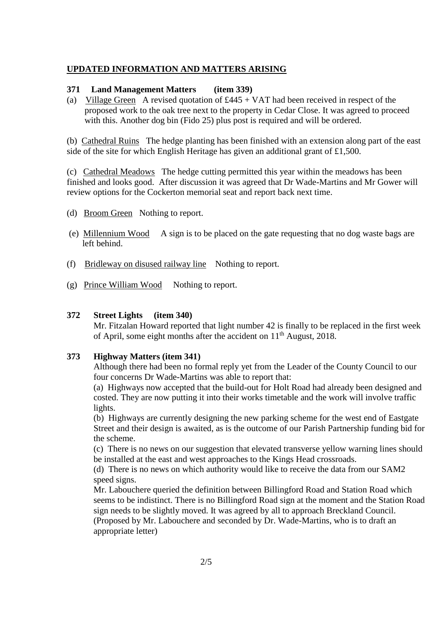#### **UPDATED INFORMATION AND MATTERS ARISING**

#### **371 Land Management Matters (item 339)**

(a) Village Green A revised quotation of  $£445 + VAT$  had been received in respect of the proposed work to the oak tree next to the property in Cedar Close. It was agreed to proceed with this. Another dog bin (Fido 25) plus post is required and will be ordered.

(b) Cathedral Ruins The hedge planting has been finished with an extension along part of the east side of the site for which English Heritage has given an additional grant of £1,500.

(c) Cathedral Meadows The hedge cutting permitted this year within the meadows has been finished and looks good. After discussion it was agreed that Dr Wade-Martins and Mr Gower will review options for the Cockerton memorial seat and report back next time.

- (d) Broom Green Nothing to report.
- (e) Millennium Wood A sign is to be placed on the gate requesting that no dog waste bags are left behind.
- (f) Bridleway on disused railway line Nothing to report.
- (g) Prince William Wood Nothing to report.

#### **372 Street Lights (item 340)**

Mr. Fitzalan Howard reported that light number 42 is finally to be replaced in the first week of April, some eight months after the accident on 11<sup>th</sup> August, 2018.

#### **373 Highway Matters (item 341)**

Although there had been no formal reply yet from the Leader of the County Council to our four concerns Dr Wade-Martins was able to report that:

(a) Highways now accepted that the build-out for Holt Road had already been designed and costed. They are now putting it into their works timetable and the work will involve traffic lights.

(b) Highways are currently designing the new parking scheme for the west end of Eastgate Street and their design is awaited, as is the outcome of our Parish Partnership funding bid for the scheme.

(c) There is no news on our suggestion that elevated transverse yellow warning lines should be installed at the east and west approaches to the Kings Head crossroads.

(d) There is no news on which authority would like to receive the data from our SAM2 speed signs.

Mr. Labouchere queried the definition between Billingford Road and Station Road which seems to be indistinct. There is no Billingford Road sign at the moment and the Station Road sign needs to be slightly moved. It was agreed by all to approach Breckland Council. (Proposed by Mr. Labouchere and seconded by Dr. Wade-Martins, who is to draft an appropriate letter)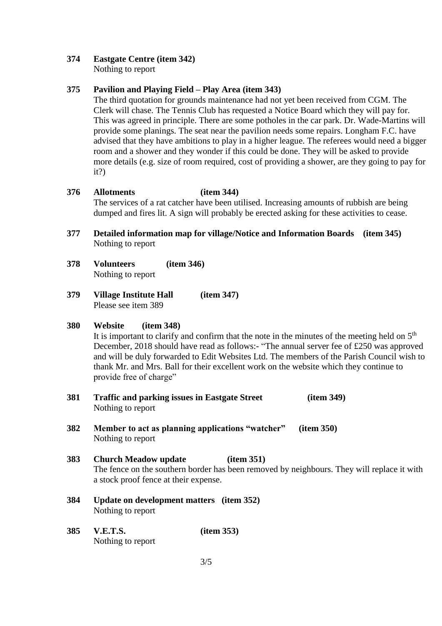# **374 Eastgate Centre (item 342)**

Nothing to report

# **375 Pavilion and Playing Field – Play Area (item 343)**

The third quotation for grounds maintenance had not yet been received from CGM. The Clerk will chase. The Tennis Club has requested a Notice Board which they will pay for. This was agreed in principle. There are some potholes in the car park. Dr. Wade-Martins will provide some planings. The seat near the pavilion needs some repairs. Longham F.C. have advised that they have ambitions to play in a higher league. The referees would need a bigger room and a shower and they wonder if this could be done. They will be asked to provide more details (e.g. size of room required, cost of providing a shower, are they going to pay for it?)

# **376 Allotments (item 344)**

The services of a rat catcher have been utilised. Increasing amounts of rubbish are being dumped and fires lit. A sign will probably be erected asking for these activities to cease.

- **377 Detailed information map for village/Notice and Information Boards (item 345)** Nothing to report
- **378 Volunteers (item 346)** Nothing to report
- **379 Village Institute Hall (item 347)** Please see item 389

## **380 Website (item 348)**

It is important to clarify and confirm that the note in the minutes of the meeting held on  $5<sup>th</sup>$ December, 2018 should have read as follows:- "The annual server fee of £250 was approved and will be duly forwarded to Edit Websites Ltd. The members of the Parish Council wish to thank Mr. and Mrs. Ball for their excellent work on the website which they continue to provide free of charge"

- **381 Traffic and parking issues in Eastgate Street (item 349)** Nothing to report
- **382 Member to act as planning applications "watcher" (item 350)** Nothing to report

# **383 Church Meadow update (item 351)**

The fence on the southern border has been removed by neighbours. They will replace it with a stock proof fence at their expense.

- **384 Update on development matters (item 352)** Nothing to report
- **385 V.E.T.S. (item 353)** Nothing to report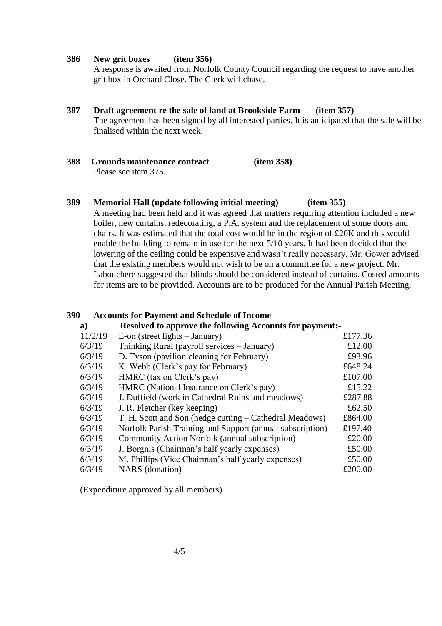#### **386 New grit boxes (item 356)**

A response is awaited from Norfolk County Council regarding the request to have another grit box in Orchard Close. The Clerk will chase.

- **387 Draft agreement re the sale of land at Brookside Farm (item 357)** The agreement has been signed by all interested parties. It is anticipated that the sale will be finalised within the next week.
- **388 Grounds maintenance contract (item 358)** Please see item 375.

## **389 Memorial Hall (update following initial meeting) (item 355)**

A meeting had been held and it was agreed that matters requiring attention included a new boiler, new curtains, redecorating, a P.A. system and the replacement of some doors and chairs. It was estimated that the total cost would be in the region of £20K and this would enable the building to remain in use for the next 5/10 years. It had been decided that the lowering of the ceiling could be expensive and wasn't really necessary. Mr. Gower advised that the existing members would not wish to be on a committee for a new project. Mr. Labouchere suggested that blinds should be considered instead of curtains. Costed amounts for items are to be provided. Accounts are to be produced for the Annual Parish Meeting.

#### **390 Accounts for Payment and Schedule of Income**

| <b>Resolved to approve the following Accounts for payment:-</b><br>a) |                                                           |         |
|-----------------------------------------------------------------------|-----------------------------------------------------------|---------|
| 11/2/19                                                               | E-on (street lights $-$ January)                          | £177.36 |
| 6/3/19                                                                | Thinking Rural (payroll services – January)               | £12.00  |
| 6/3/19                                                                | D. Tyson (pavilion cleaning for February)                 | £93.96  |
| 6/3/19                                                                | K. Webb (Clerk's pay for February)                        | £648.24 |
| 6/3/19                                                                | HMRC (tax on Clerk's pay)                                 | £107.00 |
| 6/3/19                                                                | HMRC (National Insurance on Clerk's pay)                  | £15.22  |
| 6/3/19                                                                | J. Duffield (work in Cathedral Ruins and meadows)         | £287.88 |
| 6/3/19                                                                | J. R. Fletcher (key keeping)                              | £62.50  |
| 6/3/19                                                                | T. H. Scott and Son (hedge cutting – Cathedral Meadows)   | £864.00 |
| 6/3/19                                                                | Norfolk Parish Training and Support (annual subscription) | £197.40 |
| 6/3/19                                                                | Community Action Norfolk (annual subscription)            | £20.00  |
| 6/3/19                                                                | J. Borgnis (Chairman's half yearly expenses)              | £50.00  |
| 6/3/19                                                                | M. Phillips (Vice Chairman's half yearly expenses)        | £50.00  |
| 6/3/19                                                                | <b>NARS</b> (donation)                                    | £200.00 |

(Expenditure approved by all members)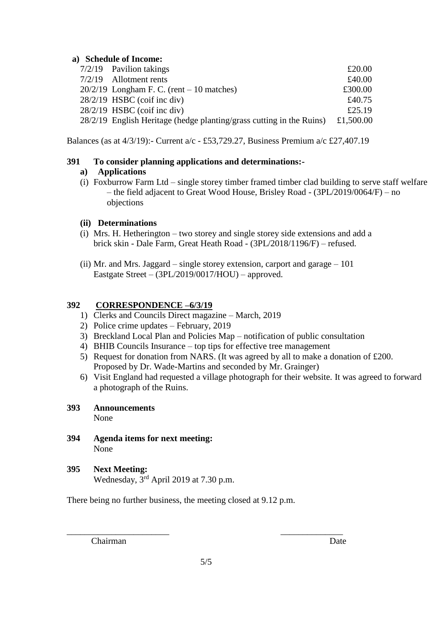#### **a) Schedule of Income:**

|  | $7/2/19$ Pavilion takings                                            | £20.00    |
|--|----------------------------------------------------------------------|-----------|
|  | $7/2/19$ Allotment rents                                             | £40.00    |
|  | $20/2/19$ Longham F. C. (rent – 10 matches)                          | £300.00   |
|  | $28/2/19$ HSBC (coif inc div)                                        | £40.75    |
|  | $28/2/19$ HSBC (coif inc div)                                        | £25.19    |
|  | 28/2/19 English Heritage (hedge planting/grass cutting in the Ruins) | £1,500.00 |
|  |                                                                      |           |

Balances (as at 4/3/19):- Current a/c - £53,729.27, Business Premium a/c £27,407.19

## **391 To consider planning applications and determinations:-**

## **a) Applications**

(i) Foxburrow Farm Ltd – single storey timber framed timber clad building to serve staff welfare – the field adjacent to Great Wood House, Brisley Road - (3PL/2019/0064/F) – no objections

## **(ii) Determinations**

- (i) Mrs. H. Hetherington two storey and single storey side extensions and add a brick skin - Dale Farm, Great Heath Road - (3PL/2018/1196/F) – refused.
- (ii) Mr. and Mrs. Jaggard single storey extension, carport and garage 101 Eastgate Street – (3PL/2019/0017/HOU) – approved.

## **392 CORRESPONDENCE –6/3/19**

- 1) Clerks and Councils Direct magazine March, 2019
- 2) Police crime updates February, 2019
- 3) Breckland Local Plan and Policies Map notification of public consultation
- 4) BHIB Councils Insurance top tips for effective tree management
- 5) Request for donation from NARS. (It was agreed by all to make a donation of £200. Proposed by Dr. Wade-Martins and seconded by Mr. Grainger)
- 6) Visit England had requested a village photograph for their website. It was agreed to forward a photograph of the Ruins.

## **393 Announcements**

None

- **394 Agenda items for next meeting:** None
- **395 Next Meeting:** Wednesday, 3rd April 2019 at 7.30 p.m.

There being no further business, the meeting closed at 9.12 p.m.

Chairman Date

\_\_\_\_\_\_\_\_\_\_\_\_\_\_\_\_\_\_\_\_\_\_\_ \_\_\_\_\_\_\_\_\_\_\_\_\_\_